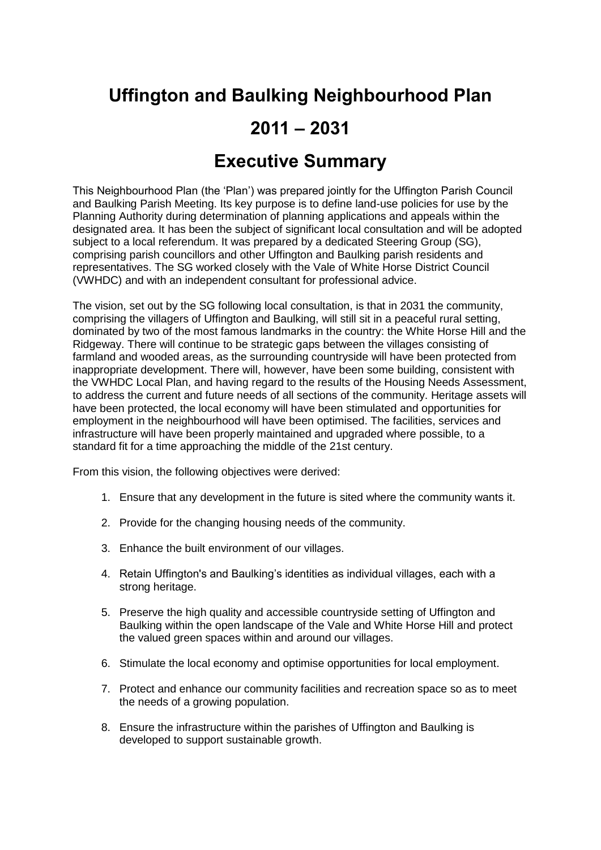# **Uffington and Baulking Neighbourhood Plan**

## **2011 – 2031**

### **Executive Summary**

This Neighbourhood Plan (the 'Plan') was prepared jointly for the Uffington Parish Council and Baulking Parish Meeting. Its key purpose is to define land-use policies for use by the Planning Authority during determination of planning applications and appeals within the designated area. It has been the subject of significant local consultation and will be adopted subject to a local referendum. It was prepared by a dedicated Steering Group (SG), comprising parish councillors and other Uffington and Baulking parish residents and representatives. The SG worked closely with the Vale of White Horse District Council (VWHDC) and with an independent consultant for professional advice.

The vision, set out by the SG following local consultation, is that in 2031 the community, comprising the villagers of Uffington and Baulking, will still sit in a peaceful rural setting, dominated by two of the most famous landmarks in the country: the White Horse Hill and the Ridgeway. There will continue to be strategic gaps between the villages consisting of farmland and wooded areas, as the surrounding countryside will have been protected from inappropriate development. There will, however, have been some building, consistent with the VWHDC Local Plan, and having regard to the results of the Housing Needs Assessment, to address the current and future needs of all sections of the community. Heritage assets will have been protected, the local economy will have been stimulated and opportunities for employment in the neighbourhood will have been optimised. The facilities, services and infrastructure will have been properly maintained and upgraded where possible, to a standard fit for a time approaching the middle of the 21st century.

From this vision, the following objectives were derived:

- 1. Ensure that any development in the future is sited where the community wants it.
- 2. Provide for the changing housing needs of the community.
- 3. Enhance the built environment of our villages.
- 4. Retain Uffington's and Baulking's identities as individual villages, each with a strong heritage.
- 5. Preserve the high quality and accessible countryside setting of Uffington and Baulking within the open landscape of the Vale and White Horse Hill and protect the valued green spaces within and around our villages.
- 6. Stimulate the local economy and optimise opportunities for local employment.
- 7. Protect and enhance our community facilities and recreation space so as to meet the needs of a growing population.
- 8. Ensure the infrastructure within the parishes of Uffington and Baulking is developed to support sustainable growth.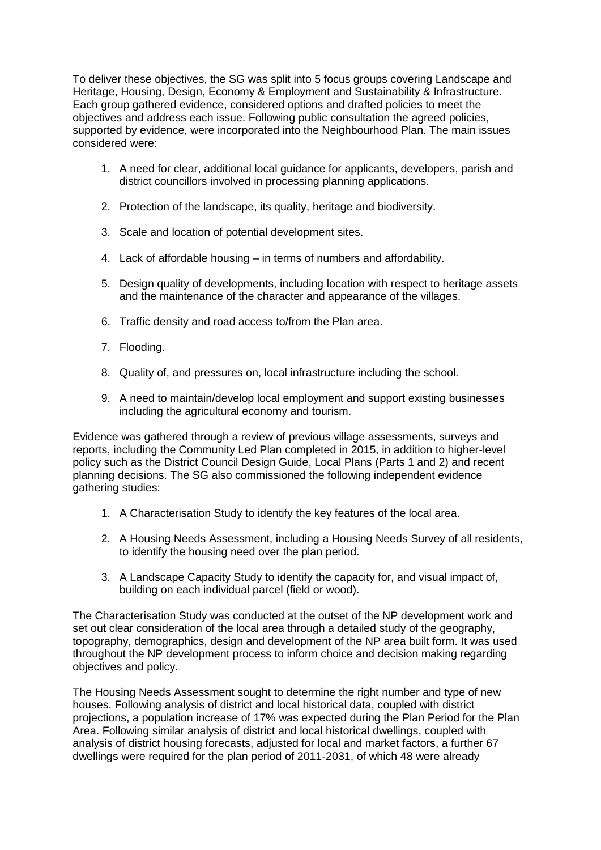To deliver these objectives, the SG was split into 5 focus groups covering Landscape and Heritage, Housing, Design, Economy & Employment and Sustainability & Infrastructure. Each group gathered evidence, considered options and drafted policies to meet the objectives and address each issue. Following public consultation the agreed policies, supported by evidence, were incorporated into the Neighbourhood Plan. The main issues considered were:

- 1. A need for clear, additional local guidance for applicants, developers, parish and district councillors involved in processing planning applications.
- 2. Protection of the landscape, its quality, heritage and biodiversity.
- 3. Scale and location of potential development sites.
- 4. Lack of affordable housing in terms of numbers and affordability.
- 5. Design quality of developments, including location with respect to heritage assets and the maintenance of the character and appearance of the villages.
- 6. Traffic density and road access to/from the Plan area.
- 7. Flooding.
- 8. Quality of, and pressures on, local infrastructure including the school.
- 9. A need to maintain/develop local employment and support existing businesses including the agricultural economy and tourism.

Evidence was gathered through a review of previous village assessments, surveys and reports, including the Community Led Plan completed in 2015, in addition to higher-level policy such as the District Council Design Guide, Local Plans (Parts 1 and 2) and recent planning decisions. The SG also commissioned the following independent evidence gathering studies:

- 1. A Characterisation Study to identify the key features of the local area.
- 2. A Housing Needs Assessment, including a Housing Needs Survey of all residents, to identify the housing need over the plan period.
- 3. A Landscape Capacity Study to identify the capacity for, and visual impact of, building on each individual parcel (field or wood).

The Characterisation Study was conducted at the outset of the NP development work and set out clear consideration of the local area through a detailed study of the geography, topography, demographics, design and development of the NP area built form. It was used throughout the NP development process to inform choice and decision making regarding objectives and policy.

The Housing Needs Assessment sought to determine the right number and type of new houses. Following analysis of district and local historical data, coupled with district projections, a population increase of 17% was expected during the Plan Period for the Plan Area. Following similar analysis of district and local historical dwellings, coupled with analysis of district housing forecasts, adjusted for local and market factors, a further 67 dwellings were required for the plan period of 2011-2031, of which 48 were already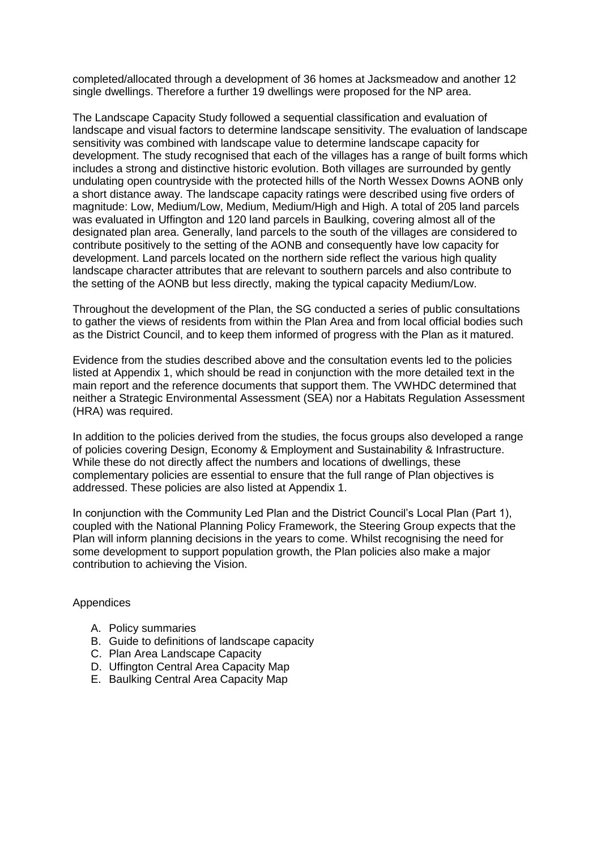completed/allocated through a development of 36 homes at Jacksmeadow and another 12 single dwellings. Therefore a further 19 dwellings were proposed for the NP area.

The Landscape Capacity Study followed a sequential classification and evaluation of landscape and visual factors to determine landscape sensitivity. The evaluation of landscape sensitivity was combined with landscape value to determine landscape capacity for development. The study recognised that each of the villages has a range of built forms which includes a strong and distinctive historic evolution. Both villages are surrounded by gently undulating open countryside with the protected hills of the North Wessex Downs AONB only a short distance away. The landscape capacity ratings were described using five orders of magnitude: Low, Medium/Low, Medium, Medium/High and High. A total of 205 land parcels was evaluated in Uffington and 120 land parcels in Baulking, covering almost all of the designated plan area. Generally, land parcels to the south of the villages are considered to contribute positively to the setting of the AONB and consequently have low capacity for development. Land parcels located on the northern side reflect the various high quality landscape character attributes that are relevant to southern parcels and also contribute to the setting of the AONB but less directly, making the typical capacity Medium/Low.

Throughout the development of the Plan, the SG conducted a series of public consultations to gather the views of residents from within the Plan Area and from local official bodies such as the District Council, and to keep them informed of progress with the Plan as it matured.

Evidence from the studies described above and the consultation events led to the policies listed at Appendix 1, which should be read in conjunction with the more detailed text in the main report and the reference documents that support them. The VWHDC determined that neither a Strategic Environmental Assessment (SEA) nor a Habitats Regulation Assessment (HRA) was required.

In addition to the policies derived from the studies, the focus groups also developed a range of policies covering Design, Economy & Employment and Sustainability & Infrastructure. While these do not directly affect the numbers and locations of dwellings, these complementary policies are essential to ensure that the full range of Plan objectives is addressed. These policies are also listed at Appendix 1.

In conjunction with the Community Led Plan and the District Council's Local Plan (Part 1), coupled with the National Planning Policy Framework, the Steering Group expects that the Plan will inform planning decisions in the years to come. Whilst recognising the need for some development to support population growth, the Plan policies also make a major contribution to achieving the Vision.

#### **Appendices**

- A. Policy summaries
- B. Guide to definitions of landscape capacity
- C. Plan Area Landscape Capacity
- D. Uffington Central Area Capacity Map
- E. Baulking Central Area Capacity Map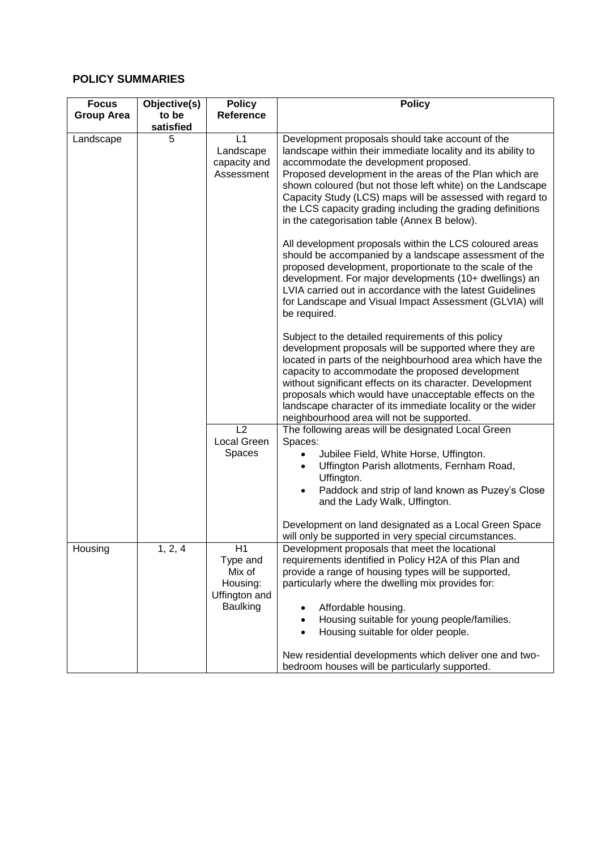#### **POLICY SUMMARIES**

| <b>Focus</b>      | Objective(s) | <b>Policy</b>                                                                   | <b>Policy</b>                                                                                                                                                                                                                                                                                                                                                                                                                                                    |
|-------------------|--------------|---------------------------------------------------------------------------------|------------------------------------------------------------------------------------------------------------------------------------------------------------------------------------------------------------------------------------------------------------------------------------------------------------------------------------------------------------------------------------------------------------------------------------------------------------------|
| <b>Group Area</b> | to be        | <b>Reference</b>                                                                |                                                                                                                                                                                                                                                                                                                                                                                                                                                                  |
|                   | satisfied    |                                                                                 |                                                                                                                                                                                                                                                                                                                                                                                                                                                                  |
| Landscape         | 5            | L1<br>Landscape<br>capacity and<br>Assessment                                   | Development proposals should take account of the<br>landscape within their immediate locality and its ability to<br>accommodate the development proposed.<br>Proposed development in the areas of the Plan which are<br>shown coloured (but not those left white) on the Landscape<br>Capacity Study (LCS) maps will be assessed with regard to<br>the LCS capacity grading including the grading definitions<br>in the categorisation table (Annex B below).    |
|                   |              |                                                                                 | All development proposals within the LCS coloured areas<br>should be accompanied by a landscape assessment of the<br>proposed development, proportionate to the scale of the<br>development. For major developments (10+ dwellings) an<br>LVIA carried out in accordance with the latest Guidelines<br>for Landscape and Visual Impact Assessment (GLVIA) will<br>be required.                                                                                   |
|                   |              |                                                                                 | Subject to the detailed requirements of this policy<br>development proposals will be supported where they are<br>located in parts of the neighbourhood area which have the<br>capacity to accommodate the proposed development<br>without significant effects on its character. Development<br>proposals which would have unacceptable effects on the<br>landscape character of its immediate locality or the wider<br>neighbourhood area will not be supported. |
|                   |              | L2                                                                              | The following areas will be designated Local Green                                                                                                                                                                                                                                                                                                                                                                                                               |
|                   |              | Local Green                                                                     | Spaces:                                                                                                                                                                                                                                                                                                                                                                                                                                                          |
|                   |              | Spaces                                                                          | Jubilee Field, White Horse, Uffington.<br>$\bullet$<br>Uffington Parish allotments, Fernham Road,<br>$\bullet$<br>Uffington.                                                                                                                                                                                                                                                                                                                                     |
|                   |              |                                                                                 | Paddock and strip of land known as Puzey's Close<br>$\bullet$<br>and the Lady Walk, Uffington.                                                                                                                                                                                                                                                                                                                                                                   |
|                   |              |                                                                                 | Development on land designated as a Local Green Space<br>will only be supported in very special circumstances.                                                                                                                                                                                                                                                                                                                                                   |
| Housing           | 1, 2, 4      | H1<br>Type and<br>Mix of<br>Housing:<br><b>Uffington and</b><br><b>Baulking</b> | Development proposals that meet the locational<br>requirements identified in Policy H2A of this Plan and<br>provide a range of housing types will be supported,<br>particularly where the dwelling mix provides for:<br>Affordable housing.<br>Housing suitable for young people/families.<br>Housing suitable for older people.<br>New residential developments which deliver one and two-                                                                      |
|                   |              |                                                                                 | bedroom houses will be particularly supported.                                                                                                                                                                                                                                                                                                                                                                                                                   |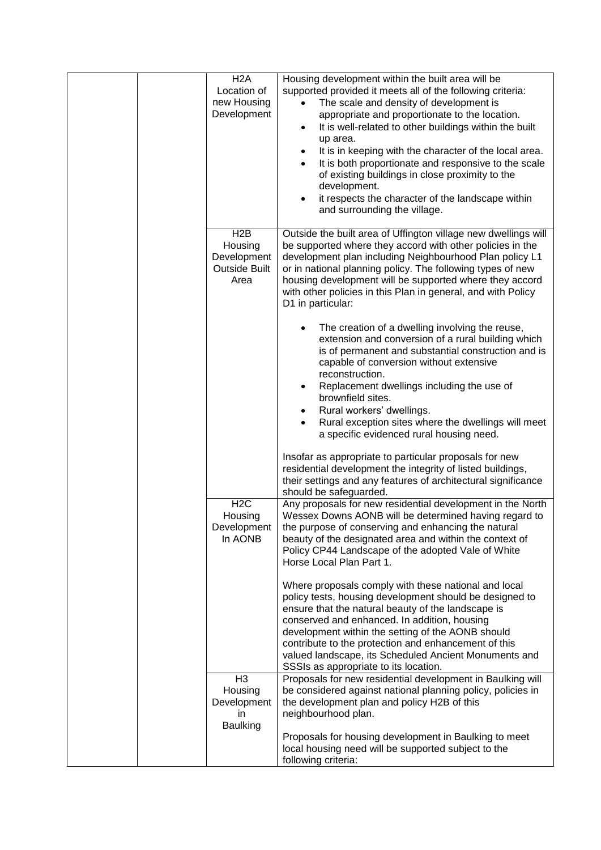| H <sub>2</sub> A<br>Location of<br>new Housing<br>Development              | Housing development within the built area will be<br>supported provided it meets all of the following criteria:<br>The scale and density of development is<br>appropriate and proportionate to the location.<br>It is well-related to other buildings within the built<br>$\bullet$<br>up area.<br>It is in keeping with the character of the local area.<br>It is both proportionate and responsive to the scale<br>of existing buildings in close proximity to the<br>development.<br>it respects the character of the landscape within<br>and surrounding the village. |
|----------------------------------------------------------------------------|---------------------------------------------------------------------------------------------------------------------------------------------------------------------------------------------------------------------------------------------------------------------------------------------------------------------------------------------------------------------------------------------------------------------------------------------------------------------------------------------------------------------------------------------------------------------------|
| H <sub>2</sub> B<br>Housing<br>Development<br><b>Outside Built</b><br>Area | Outside the built area of Uffington village new dwellings will<br>be supported where they accord with other policies in the<br>development plan including Neighbourhood Plan policy L1<br>or in national planning policy. The following types of new<br>housing development will be supported where they accord<br>with other policies in this Plan in general, and with Policy<br>D1 in particular:                                                                                                                                                                      |
|                                                                            | The creation of a dwelling involving the reuse,<br>extension and conversion of a rural building which<br>is of permanent and substantial construction and is<br>capable of conversion without extensive<br>reconstruction.<br>Replacement dwellings including the use of<br>brownfield sites.<br>Rural workers' dwellings.                                                                                                                                                                                                                                                |
|                                                                            | Rural exception sites where the dwellings will meet<br>a specific evidenced rural housing need.<br>Insofar as appropriate to particular proposals for new<br>residential development the integrity of listed buildings,<br>their settings and any features of architectural significance<br>should be safeguarded.                                                                                                                                                                                                                                                        |
| H2C<br>Housing<br>Development<br>In AONB                                   | Any proposals for new residential development in the North<br>Wessex Downs AONB will be determined having regard to<br>the purpose of conserving and enhancing the natural<br>beauty of the designated area and within the context of<br>Policy CP44 Landscape of the adopted Vale of White<br>Horse Local Plan Part 1.                                                                                                                                                                                                                                                   |
|                                                                            | Where proposals comply with these national and local<br>policy tests, housing development should be designed to<br>ensure that the natural beauty of the landscape is<br>conserved and enhanced. In addition, housing<br>development within the setting of the AONB should<br>contribute to the protection and enhancement of this<br>valued landscape, its Scheduled Ancient Monuments and<br>SSSIs as appropriate to its location.                                                                                                                                      |
| H <sub>3</sub><br>Housing<br>Development<br>in.<br><b>Baulking</b>         | Proposals for new residential development in Baulking will<br>be considered against national planning policy, policies in<br>the development plan and policy H2B of this<br>neighbourhood plan.                                                                                                                                                                                                                                                                                                                                                                           |
|                                                                            | Proposals for housing development in Baulking to meet<br>local housing need will be supported subject to the<br>following criteria:                                                                                                                                                                                                                                                                                                                                                                                                                                       |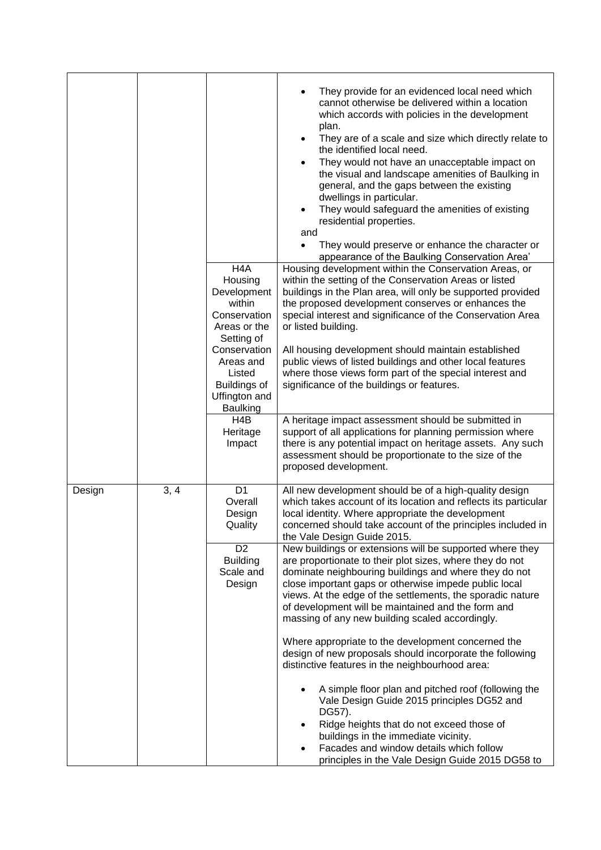|        |      |                                                                                                                                                                                                             | They provide for an evidenced local need which<br>cannot otherwise be delivered within a location<br>which accords with policies in the development<br>plan.<br>They are of a scale and size which directly relate to<br>$\bullet$<br>the identified local need.<br>They would not have an unacceptable impact on<br>$\bullet$<br>the visual and landscape amenities of Baulking in<br>general, and the gaps between the existing<br>dwellings in particular.<br>They would safeguard the amenities of existing<br>$\bullet$<br>residential properties.<br>and<br>They would preserve or enhance the character or<br>$\bullet$<br>appearance of the Baulking Conservation Area'                                                                                                                                                                                                                                                                                                                                                                                                                                                                                            |
|--------|------|-------------------------------------------------------------------------------------------------------------------------------------------------------------------------------------------------------------|----------------------------------------------------------------------------------------------------------------------------------------------------------------------------------------------------------------------------------------------------------------------------------------------------------------------------------------------------------------------------------------------------------------------------------------------------------------------------------------------------------------------------------------------------------------------------------------------------------------------------------------------------------------------------------------------------------------------------------------------------------------------------------------------------------------------------------------------------------------------------------------------------------------------------------------------------------------------------------------------------------------------------------------------------------------------------------------------------------------------------------------------------------------------------|
|        |      | H <sub>4</sub> A<br>Housing<br>Development<br>within<br>Conservation<br>Areas or the<br>Setting of<br>Conservation<br>Areas and<br>Listed<br><b>Buildings of</b><br><b>Uffington and</b><br><b>Baulking</b> | Housing development within the Conservation Areas, or<br>within the setting of the Conservation Areas or listed<br>buildings in the Plan area, will only be supported provided<br>the proposed development conserves or enhances the<br>special interest and significance of the Conservation Area<br>or listed building.<br>All housing development should maintain established<br>public views of listed buildings and other local features<br>where those views form part of the special interest and<br>significance of the buildings or features.                                                                                                                                                                                                                                                                                                                                                                                                                                                                                                                                                                                                                     |
|        |      | H <sub>4</sub> B<br>Heritage<br>Impact                                                                                                                                                                      | A heritage impact assessment should be submitted in<br>support of all applications for planning permission where<br>there is any potential impact on heritage assets. Any such<br>assessment should be proportionate to the size of the<br>proposed development.                                                                                                                                                                                                                                                                                                                                                                                                                                                                                                                                                                                                                                                                                                                                                                                                                                                                                                           |
| Design | 3, 4 | D <sub>1</sub><br>Overall<br>Design<br>Quality<br>D <sub>2</sub><br><b>Building</b><br>Scale and<br>Design                                                                                                  | All new development should be of a high-quality design<br>which takes account of its location and reflects its particular<br>local identity. Where appropriate the development<br>concerned should take account of the principles included in<br>the Vale Design Guide 2015.<br>New buildings or extensions will be supported where they<br>are proportionate to their plot sizes, where they do not<br>dominate neighbouring buildings and where they do not<br>close important gaps or otherwise impede public local<br>views. At the edge of the settlements, the sporadic nature<br>of development will be maintained and the form and<br>massing of any new building scaled accordingly.<br>Where appropriate to the development concerned the<br>design of new proposals should incorporate the following<br>distinctive features in the neighbourhood area:<br>A simple floor plan and pitched roof (following the<br>Vale Design Guide 2015 principles DG52 and<br>DG57).<br>Ridge heights that do not exceed those of<br>buildings in the immediate vicinity.<br>Facades and window details which follow<br>٠<br>principles in the Vale Design Guide 2015 DG58 to |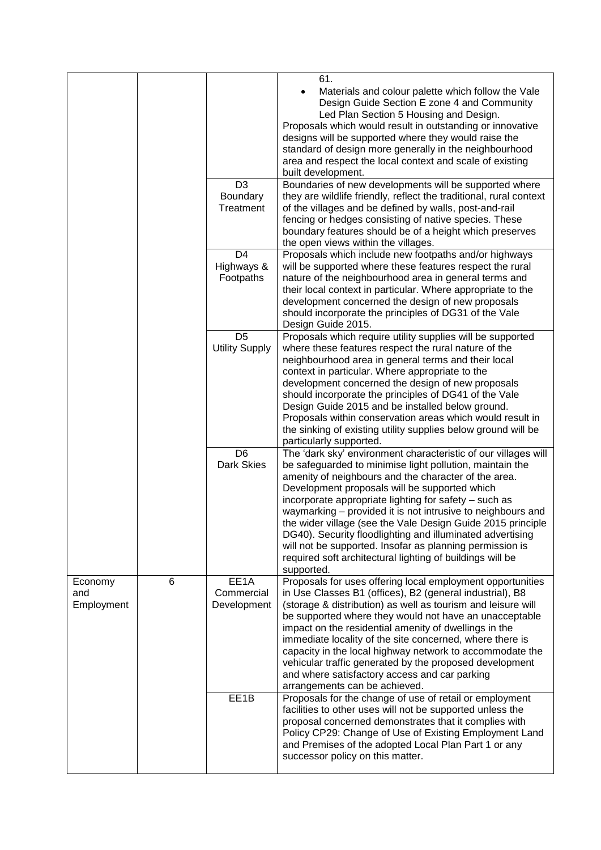|                              |   |                                           | 61.                                                                                                                                                                                                                                                                                                                                                                                                                                                                                                                                                                                                                            |
|------------------------------|---|-------------------------------------------|--------------------------------------------------------------------------------------------------------------------------------------------------------------------------------------------------------------------------------------------------------------------------------------------------------------------------------------------------------------------------------------------------------------------------------------------------------------------------------------------------------------------------------------------------------------------------------------------------------------------------------|
|                              |   |                                           | Materials and colour palette which follow the Vale<br>Design Guide Section E zone 4 and Community<br>Led Plan Section 5 Housing and Design.<br>Proposals which would result in outstanding or innovative<br>designs will be supported where they would raise the<br>standard of design more generally in the neighbourhood<br>area and respect the local context and scale of existing<br>built development.                                                                                                                                                                                                                   |
|                              |   | D <sub>3</sub>                            | Boundaries of new developments will be supported where                                                                                                                                                                                                                                                                                                                                                                                                                                                                                                                                                                         |
|                              |   | Boundary<br>Treatment                     | they are wildlife friendly, reflect the traditional, rural context<br>of the villages and be defined by walls, post-and-rail<br>fencing or hedges consisting of native species. These<br>boundary features should be of a height which preserves<br>the open views within the villages.                                                                                                                                                                                                                                                                                                                                        |
|                              |   | D <sub>4</sub><br>Highways &<br>Footpaths | Proposals which include new footpaths and/or highways<br>will be supported where these features respect the rural<br>nature of the neighbourhood area in general terms and<br>their local context in particular. Where appropriate to the<br>development concerned the design of new proposals<br>should incorporate the principles of DG31 of the Vale<br>Design Guide 2015.                                                                                                                                                                                                                                                  |
|                              |   | D <sub>5</sub><br><b>Utility Supply</b>   | Proposals which require utility supplies will be supported<br>where these features respect the rural nature of the<br>neighbourhood area in general terms and their local<br>context in particular. Where appropriate to the<br>development concerned the design of new proposals<br>should incorporate the principles of DG41 of the Vale<br>Design Guide 2015 and be installed below ground.<br>Proposals within conservation areas which would result in<br>the sinking of existing utility supplies below ground will be<br>particularly supported.                                                                        |
|                              |   | D <sub>6</sub><br><b>Dark Skies</b>       | The 'dark sky' environment characteristic of our villages will<br>be safeguarded to minimise light pollution, maintain the<br>amenity of neighbours and the character of the area.<br>Development proposals will be supported which<br>incorporate appropriate lighting for safety - such as<br>waymarking – provided it is not intrusive to neighbours and<br>the wider village (see the Vale Design Guide 2015 principle<br>DG40). Security floodlighting and illuminated advertising<br>will not be supported. Insofar as planning permission is<br>required soft architectural lighting of buildings will be<br>supported. |
| Economy<br>and<br>Employment | 6 | EE1A<br>Commercial<br>Development         | Proposals for uses offering local employment opportunities<br>in Use Classes B1 (offices), B2 (general industrial), B8<br>(storage & distribution) as well as tourism and leisure will<br>be supported where they would not have an unacceptable<br>impact on the residential amenity of dwellings in the<br>immediate locality of the site concerned, where there is<br>capacity in the local highway network to accommodate the<br>vehicular traffic generated by the proposed development<br>and where satisfactory access and car parking<br>arrangements can be achieved.                                                 |
|                              |   | EE1B                                      | Proposals for the change of use of retail or employment<br>facilities to other uses will not be supported unless the<br>proposal concerned demonstrates that it complies with<br>Policy CP29: Change of Use of Existing Employment Land<br>and Premises of the adopted Local Plan Part 1 or any<br>successor policy on this matter.                                                                                                                                                                                                                                                                                            |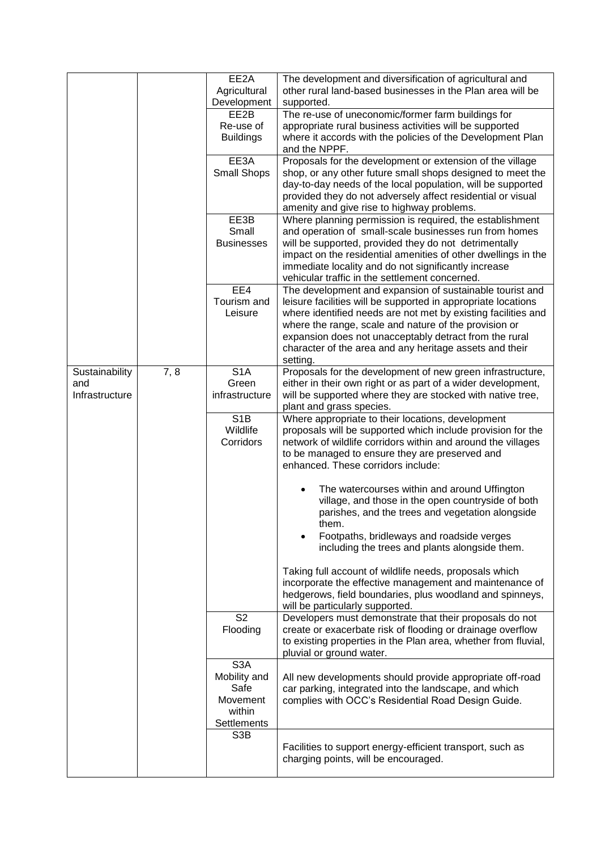|                |      | EE2A<br>Agricultural            | The development and diversification of agricultural and<br>other rural land-based businesses in the Plan area will be      |
|----------------|------|---------------------------------|----------------------------------------------------------------------------------------------------------------------------|
|                |      | Development                     | supported.                                                                                                                 |
|                |      | EE2B                            | The re-use of uneconomic/former farm buildings for                                                                         |
|                |      | Re-use of                       | appropriate rural business activities will be supported                                                                    |
|                |      | <b>Buildings</b>                | where it accords with the policies of the Development Plan<br>and the NPPF.                                                |
|                |      | EE3A                            | Proposals for the development or extension of the village                                                                  |
|                |      | Small Shops                     | shop, or any other future small shops designed to meet the                                                                 |
|                |      |                                 | day-to-day needs of the local population, will be supported<br>provided they do not adversely affect residential or visual |
|                |      |                                 | amenity and give rise to highway problems.                                                                                 |
|                |      | EE3B                            | Where planning permission is required, the establishment                                                                   |
|                |      | Small<br><b>Businesses</b>      | and operation of small-scale businesses run from homes<br>will be supported, provided they do not detrimentally            |
|                |      |                                 | impact on the residential amenities of other dwellings in the                                                              |
|                |      |                                 | immediate locality and do not significantly increase                                                                       |
|                |      |                                 | vehicular traffic in the settlement concerned.                                                                             |
|                |      | EE4                             | The development and expansion of sustainable tourist and                                                                   |
|                |      | Tourism and                     | leisure facilities will be supported in appropriate locations                                                              |
|                |      | Leisure                         | where identified needs are not met by existing facilities and                                                              |
|                |      |                                 | where the range, scale and nature of the provision or<br>expansion does not unacceptably detract from the rural            |
|                |      |                                 | character of the area and any heritage assets and their                                                                    |
|                |      |                                 | setting.                                                                                                                   |
| Sustainability | 7, 8 | S <sub>1</sub> A                | Proposals for the development of new green infrastructure,                                                                 |
| and            |      | Green                           | either in their own right or as part of a wider development,                                                               |
| Infrastructure |      | infrastructure                  | will be supported where they are stocked with native tree,                                                                 |
|                |      | S <sub>1</sub> B                | plant and grass species.<br>Where appropriate to their locations, development                                              |
|                |      | Wildlife                        | proposals will be supported which include provision for the                                                                |
|                |      | Corridors                       | network of wildlife corridors within and around the villages                                                               |
|                |      |                                 | to be managed to ensure they are preserved and                                                                             |
|                |      |                                 | enhanced. These corridors include:                                                                                         |
|                |      |                                 | The watercourses within and around Uffington                                                                               |
|                |      |                                 | village, and those in the open countryside of both                                                                         |
|                |      |                                 | parishes, and the trees and vegetation alongside                                                                           |
|                |      |                                 | them.<br>Footpaths, bridleways and roadside verges                                                                         |
|                |      |                                 | including the trees and plants alongside them.                                                                             |
|                |      |                                 | Taking full account of wildlife needs, proposals which                                                                     |
|                |      |                                 | incorporate the effective management and maintenance of                                                                    |
|                |      |                                 | hedgerows, field boundaries, plus woodland and spinneys,                                                                   |
|                |      |                                 |                                                                                                                            |
|                |      |                                 | will be particularly supported.                                                                                            |
|                |      | S <sub>2</sub>                  | Developers must demonstrate that their proposals do not                                                                    |
|                |      | Flooding                        | create or exacerbate risk of flooding or drainage overflow                                                                 |
|                |      |                                 | to existing properties in the Plan area, whether from fluvial,<br>pluvial or ground water.                                 |
|                |      | S <sub>3</sub> A                |                                                                                                                            |
|                |      | Mobility and                    | All new developments should provide appropriate off-road                                                                   |
|                |      | Safe                            | car parking, integrated into the landscape, and which                                                                      |
|                |      | Movement                        | complies with OCC's Residential Road Design Guide.                                                                         |
|                |      | within                          |                                                                                                                            |
|                |      | Settlements<br>S <sub>3</sub> B |                                                                                                                            |
|                |      |                                 | Facilities to support energy-efficient transport, such as                                                                  |
|                |      |                                 | charging points, will be encouraged.                                                                                       |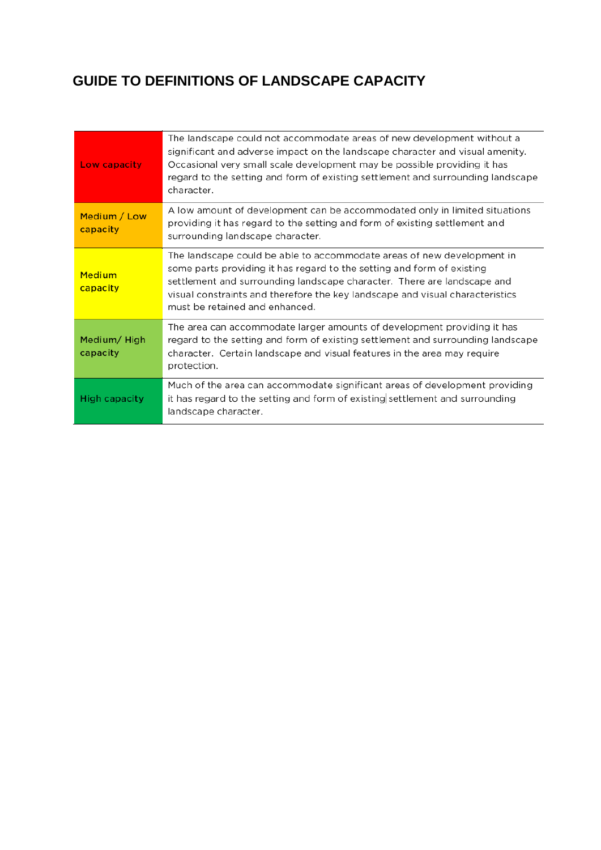## **GUIDE TO DEFINITIONS OF LANDSCAPE CAPACITY**

| Low capacity             | The landscape could not accommodate areas of new development without a<br>significant and adverse impact on the landscape character and visual amenity.<br>Occasional very small scale development may be possible providing it has<br>regard to the setting and form of existing settlement and surrounding landscape<br>character.           |
|--------------------------|------------------------------------------------------------------------------------------------------------------------------------------------------------------------------------------------------------------------------------------------------------------------------------------------------------------------------------------------|
| Medium / Low<br>capacity | A low amount of development can be accommodated only in limited situations<br>providing it has regard to the setting and form of existing settlement and<br>surrounding landscape character.                                                                                                                                                   |
| Medium<br>capacity       | The landscape could be able to accommodate areas of new development in<br>some parts providing it has regard to the setting and form of existing<br>settlement and surrounding landscape character. There are landscape and<br>visual constraints and therefore the key landscape and visual characteristics<br>must be retained and enhanced. |
| Medium/High<br>capacity  | The area can accommodate larger amounts of development providing it has<br>regard to the setting and form of existing settlement and surrounding landscape<br>character. Certain landscape and visual features in the area may require<br>protection.                                                                                          |
| High capacity            | Much of the area can accommodate significant areas of development providing<br>it has regard to the setting and form of existing settlement and surrounding<br>landscape character.                                                                                                                                                            |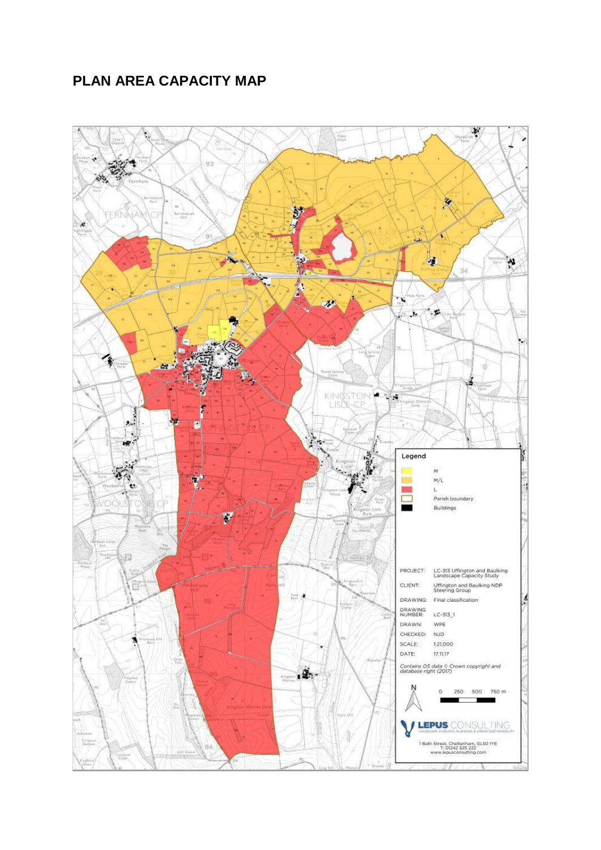### **PLAN AREA CAPACITY MAP**

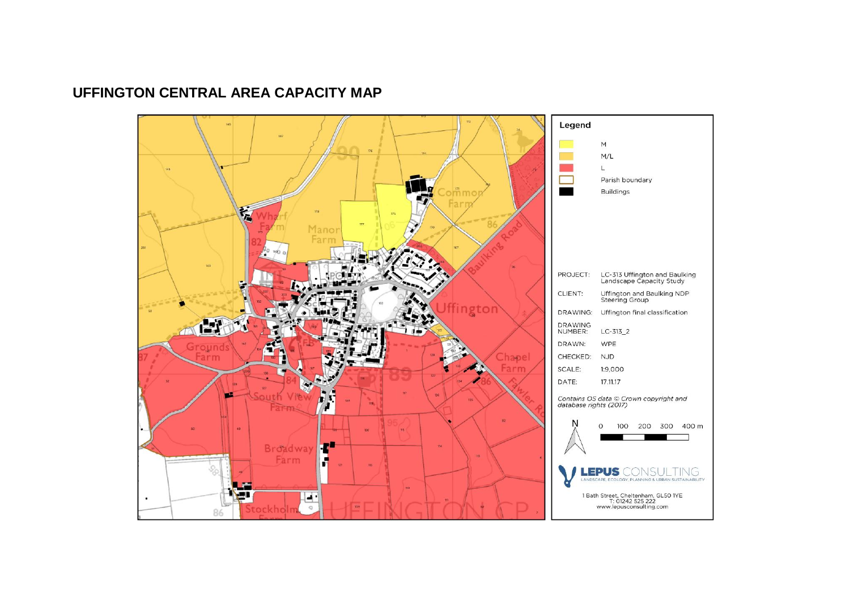### **UFFINGTON CENTRAL AREA CAPACITY MAP**